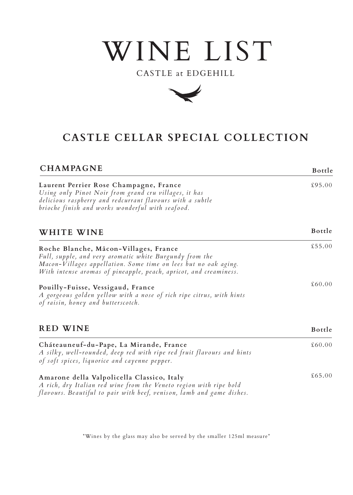# WINE LIST

## CASTLE at EDGEHILL



# **CASTLE CELLAR SPECIAL COLLECTION**

| <b>CHAMPAGNE</b>                                                                                                                                                                                                                         | Bottle  |
|------------------------------------------------------------------------------------------------------------------------------------------------------------------------------------------------------------------------------------------|---------|
| Laurent Perrier Rose Champagne, France<br>Using only Pinot Noir from grand cru villages, it has<br>delicious raspberry and redcurrant flavours with a subtle<br>brioche finish and works wonderful with seafood.                         | £95.00  |
| WHITE WINE                                                                                                                                                                                                                               | Bottle  |
| Roche Blanche, Mâcon-Villages, France<br>Full, supple, and very aromatic white Burgundy from the<br>Macon-Villages appellation. Some time on lees but no oak aging.<br>With intense aromas of pineapple, peach, apricot, and creaminess. | £55.00  |
| Pouilly-Fuisse, Vessigaud, France<br>A gorgeous golden yellow with a nose of rich ripe citrus, with hints<br>of raisin, honey and butterscotch.                                                                                          | \$60.00 |
| <b>RED WINE</b>                                                                                                                                                                                                                          | Bottle  |
| Cháteauneuf-du-Pape, La Mirande, France<br>A silky, well-rounded, deep red with ripe red fruit flavours and hints<br>of soft spices, liquorice and cayenne pepper.                                                                       | £60.00  |
| Amarone della Valpolicella Classico, Italy<br>A rich, dry Italian red wine from the Veneto region with ripe bold<br>flavours. Beautiful to pair with beef, venison, lamb and game dishes.                                                | \$65.00 |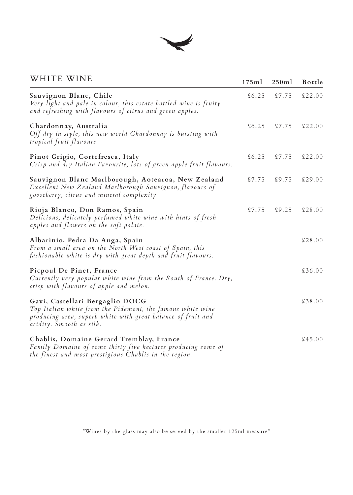

### WHITE WINE

| WHITE WINE                                                                                                                                                                                | 175ml  | 250ml  | Bottle  |
|-------------------------------------------------------------------------------------------------------------------------------------------------------------------------------------------|--------|--------|---------|
| Sauvignon Blanc, Chile<br>Very light and pale in colour, this estate bottled wine is fruity<br>and refreshing with flavours of citrus and green apples.                                   | \$6.25 | \$7.75 | £22.00  |
| Chardonnay, Australia<br>Off dry in style, this new world Chardonnay is bursting with<br>tropical fruit flavours.                                                                         | \$6.25 | \$7.75 | £22.00  |
| Pinot Grigio, Cortefresca, Italy<br>Crisp and dry Italian Favourite, lots of green apple fruit flavours.                                                                                  | \$6.25 | \$7.75 | £22.00  |
| Sauvignon Blanc Marlborough, Aotearoa, New Zealand<br>Excellent New Zealand Marlborough Sauvignon, flavours of<br>gooseberry, citrus and mineral complexity                               | \$7.75 | \$9.75 | £29.00  |
| Rioja Blanco, Don Ramos, Spain<br>Delicious, delicately perfumed white wine with hints of fresh<br>apples and flowers on the soft palate.                                                 | \$7.75 | \$9.25 | £28.00  |
| Albarinio, Pedra Da Auga, Spain<br>From a small area on the North West coast of Spain, this<br>fashionable white is dry with great depth and fruit flavours.                              |        |        | £28.00  |
| Picpoul De Pinet, France<br>Currently very popular white wine from the South of France. Dry,<br>crisp with flavours of apple and melon.                                                   |        |        | £36.00  |
| Gavi, Castellari Bergaglio DOCG<br>Top Italian white from the Pidemont, the famous white wine<br>producing area, superb white with great balance of fruit and<br>acidity. Smooth as silk. |        |        | £38.00  |
| Chablis, Domaine Gerard Tremblay, France<br>Family Domaine of some thirty five hectares producing some of<br>the finest and most prestigious Chablis in the region.                       |        |        | \$45.00 |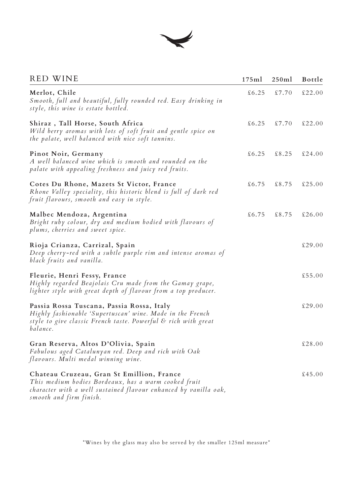

#### RED WINE

| <b>RED WINE</b>                                                                                                                                                                                  | 175ml  | 250ml  | <b>Bottle</b> |
|--------------------------------------------------------------------------------------------------------------------------------------------------------------------------------------------------|--------|--------|---------------|
| Merlot, Chile<br>Smooth, full and beautiful, fully rounded red. Easy drinking in<br>style, this wine is estate bottled.                                                                          | \$6.25 | \$7.70 | \$22.00       |
| Shiraz, Tall Horse, South Africa<br>Wild berry aromas with lots of soft fruit and gentle spice on<br>the palate, well balanced with nice soft tannins.                                           | \$6.25 | \$7.70 | £22.00        |
| Pinot Noir, Germany<br>A well balanced wine which is smooth and rounded on the<br>palate with appealing freshness and juicy red fruits.                                                          | \$6.25 | \$8.25 | \$24.00       |
| Cotes Du Rhone, Mazets St Victor, France<br>Rhone Valley speciality, this historic blend is full of dark red<br>fruit flavours, smooth and easy in style.                                        | \$6.75 | \$8.75 | \$25.00       |
| Malbec Mendoza, Argentina<br>Bright ruby colour, dry and medium bodied with flavours of<br>plums, cherries and sweet spice.                                                                      | \$6.75 | \$8.75 | £26.00        |
| Rioja Crianza, Carrizal, Spain<br>Deep cherry-red with a subtle purple rim and intense aromas of<br>black fruits and vanilla.                                                                    |        |        | £29.00        |
| Fleurie, Henri Fessy, France<br>Highly regarded Beajolais Cru made from the Gamay grape,<br>lighter style with great depth of flavour from a top producer.                                       |        |        | £55.00        |
| Passia Rossa Tuscana, Passia Rossa, Italy<br>Highly fashionable 'Supertuscan' wine. Made in the French<br>style to give classic French taste. Powerful & rich with great<br>balance.             |        |        | £29.00        |
| Gran Reserva, Altos D'Olivia, Spain<br>Fabulous aged Catalunyan red. Deep and rich with Oak<br>flavours. Multi medal winning wine.                                                               |        |        | £28.00        |
| Chateau Cruzeau, Gran St Emillion, France<br>This medium bodies Bordeaux, has a warm cooked fruit<br>character with a well sustained flavour enhanced by vanilla oak,<br>smooth and firm finish. |        |        | £45.00        |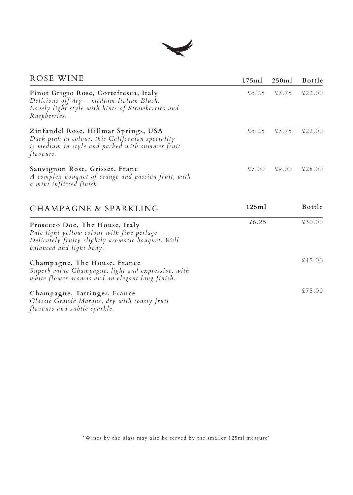

| ROSE WINE                                                                                                                                                      | 175ml  | 250ml  | Bottle  |
|----------------------------------------------------------------------------------------------------------------------------------------------------------------|--------|--------|---------|
| Pinot Grigio Rose, Cortefresca, Italy<br>Delicious off dry – medium Italian Blush.<br>Lovely light style with hints of Strawberries and<br>Raspberries.        | \$6.25 | \$7.75 | £22.00  |
| Zinfandel Rose, Hillmar Springs, USA<br>Dark pink in colour, this Californian speciality<br>is medium in style and packed with summer fruit<br>flavours.       | \$6.25 | £7.75  | \$22.00 |
| Sauvignon Rose, Grisset, Franc<br>A complex bouquet of orange and passion fruit, with<br>a mint inflicted finish.                                              | \$7.00 | \$9.00 | £28.00  |
| CHAMPAGNE & SPARKLING                                                                                                                                          | 125ml  |        | Bottle  |
| Prosecco Doc, The House, Italy<br>Pale light yellow colour with fine perlage.<br>Delicately fruity slightly aromatic bouquet. Well<br>balanced and light body. | \$6.25 |        | £30.00  |
| Champagne, The House, France<br>Superb value Champagne, light and expressive, with<br>white flower aromas and an elegant long finish.                          |        |        | £45.00  |
| Champagne, Tattinger, France<br>Classic Grande Marque, dry with toasty fruit<br>flavours and subtle sparkle.                                                   |        |        | \$75.00 |